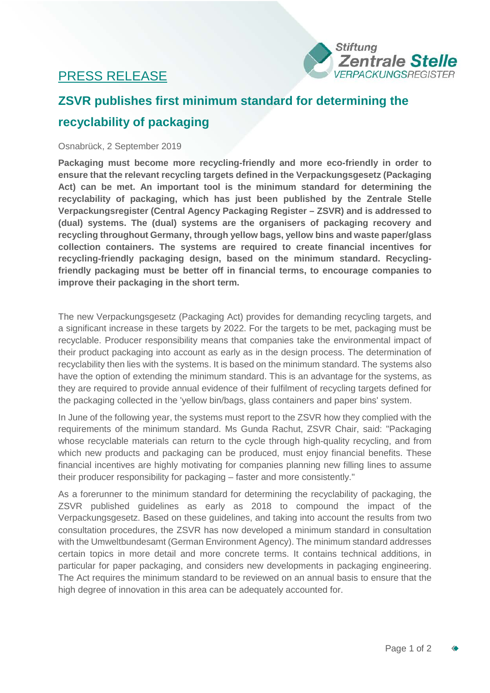## PRESS RELEASE



# **ZSVR publishes first minimum standard for determining the recyclability of packaging**

### Osnabrück, 2 September 2019

**Packaging must become more recycling-friendly and more eco-friendly in order to ensure that the relevant recycling targets defined in the Verpackungsgesetz (Packaging Act) can be met. An important tool is the minimum standard for determining the recyclability of packaging, which has just been published by the Zentrale Stelle Verpackungsregister (Central Agency Packaging Register – ZSVR) and is addressed to (dual) systems. The (dual) systems are the organisers of packaging recovery and recycling throughout Germany, through yellow bags, yellow bins and waste paper/glass collection containers. The systems are required to create financial incentives for recycling-friendly packaging design, based on the minimum standard. Recyclingfriendly packaging must be better off in financial terms, to encourage companies to improve their packaging in the short term.**

The new Verpackungsgesetz (Packaging Act) provides for demanding recycling targets, and a significant increase in these targets by 2022. For the targets to be met, packaging must be recyclable. Producer responsibility means that companies take the environmental impact of their product packaging into account as early as in the design process. The determination of recyclability then lies with the systems. It is based on the minimum standard. The systems also have the option of extending the minimum standard. This is an advantage for the systems, as they are required to provide annual evidence of their fulfilment of recycling targets defined for the packaging collected in the 'yellow bin/bags, glass containers and paper bins' system.

In June of the following year, the systems must report to the ZSVR how they complied with the requirements of the minimum standard. Ms Gunda Rachut, ZSVR Chair, said: "Packaging whose recyclable materials can return to the cycle through high-quality recycling, and from which new products and packaging can be produced, must enjoy financial benefits. These financial incentives are highly motivating for companies planning new filling lines to assume their producer responsibility for packaging – faster and more consistently."

As a forerunner to the minimum standard for determining the recyclability of packaging, the ZSVR published guidelines as early as 2018 to compound the impact of the Verpackungsgesetz. Based on these guidelines, and taking into account the results from two consultation procedures, the ZSVR has now developed a minimum standard in consultation with the Umweltbundesamt (German Environment Agency). The minimum standard addresses certain topics in more detail and more concrete terms. It contains technical additions, in particular for paper packaging, and considers new developments in packaging engineering. The Act requires the minimum standard to be reviewed on an annual basis to ensure that the high degree of innovation in this area can be adequately accounted for.